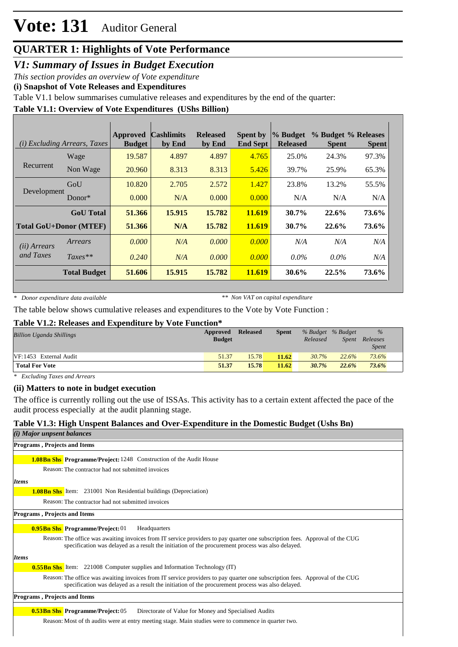# **Vote: 131** Auditor General

# **QUARTER 1: Highlights of Vote Performance**

*V1: Summary of Issues in Budget Execution*

*This section provides an overview of Vote expenditure* 

**(i) Snapshot of Vote Releases and Expenditures**

Table V1.1 below summarises cumulative releases and expenditures by the end of the quarter:

# **Table V1.1: Overview of Vote Expenditures (UShs Billion)**

| ( <i>i</i> ) Excluding Arrears, Taxes |                               | <b>Approved</b><br><b>Budget</b> | <b>Cashlimits</b><br>by End | <b>Released</b><br>by End | <b>Spent by</b><br><b>End Sept</b> | % Budget<br><b>Released</b> | % Budget % Releases<br><b>Spent</b> | <b>Spent</b> |
|---------------------------------------|-------------------------------|----------------------------------|-----------------------------|---------------------------|------------------------------------|-----------------------------|-------------------------------------|--------------|
|                                       | Wage                          | 19.587                           | 4.897                       | 4.897                     | 4.765                              | 25.0%                       | 24.3%                               | 97.3%        |
| Recurrent                             | Non Wage                      | 20.960                           | 8.313                       | 8.313                     | 5.426                              | 39.7%                       | 25.9%                               | 65.3%        |
| Development                           | GoU                           | 10.820                           | 2.705                       | 2.572                     | 1.427                              | 23.8%                       | 13.2%                               | 55.5%        |
|                                       | $Donor*$                      | 0.000                            | N/A                         | 0.000                     | 0.000                              | N/A                         | N/A                                 | N/A          |
|                                       | <b>GoU</b> Total              | 51.366                           | 15.915                      | 15.782                    | 11.619                             | $30.7\%$                    | 22.6%                               | 73.6%        |
|                                       | <b>Total GoU+Donor (MTEF)</b> | 51.366                           | N/A                         | 15.782                    | 11.619                             | 30.7%                       | 22.6%                               | 73.6%        |
| ( <i>ii</i> ) Arrears                 | Arrears                       | 0.000                            | N/A                         | 0.000                     | 0.000                              | N/A                         | N/A                                 | N/A          |
| and Taxes                             | $Taxes**$                     | 0.240                            | N/A                         | 0.000                     | 0.000                              | $0.0\%$                     | $0.0\%$                             | N/A          |
|                                       | <b>Total Budget</b>           | 51.606                           | 15.915                      | 15.782                    | 11.619                             | $30.6\%$                    | 22.5%                               | 73.6%        |

*\* Donor expenditure data available*

*\*\* Non VAT on capital expenditure*

The table below shows cumulative releases and expenditures to the Vote by Vote Function :

### **Table V1.2: Releases and Expenditure by Vote Function\***

| <b>Billion Uganda Shillings</b> | Approved<br><b>Budget</b> | Released | <b>Spent</b> | Released | % Budget % Budget<br>Spent | $\frac{9}{6}$<br>Releases<br><i>Spent</i> |
|---------------------------------|---------------------------|----------|--------------|----------|----------------------------|-------------------------------------------|
| VF:1453 External Audit          | 51.37                     | 15.78    | 11.62        | 30.7%    | 22.6%                      | 73.6%                                     |
| <b>Total For Vote</b>           | 51.37                     | 15.78    | 11.62        | 30.7%    | 22.6%                      | 73.6%                                     |

*\* Excluding Taxes and Arrears*

### **(ii) Matters to note in budget execution**

The office is currently rolling out the use of ISSAs. This activity has to a certain extent affected the pace of the audit process especially at the audit planning stage.

# **Table V1.3: High Unspent Balances and Over-Expenditure in the Domestic Budget (Ushs Bn)**

| ( <i>i</i> ) Major unpsent balances                                                                                                                                                                                               |
|-----------------------------------------------------------------------------------------------------------------------------------------------------------------------------------------------------------------------------------|
| <b>Programs, Projects and Items</b>                                                                                                                                                                                               |
| <b>1.08Bn Shs Programme/Project:</b> 1248 Construction of the Audit House                                                                                                                                                         |
| Reason: The contractor had not submitted invoices                                                                                                                                                                                 |
| <i>Items</i>                                                                                                                                                                                                                      |
| <b>1.08Bn Shs</b> Item: 231001 Non Residential buildings (Depreciation)                                                                                                                                                           |
| Reason: The contractor had not submitted invoices                                                                                                                                                                                 |
| <b>Programs, Projects and Items</b>                                                                                                                                                                                               |
| <b>0.95Bn Shs Programme/Project: 01</b><br>Headquarters                                                                                                                                                                           |
| Reason: The office was awaiting invoices from IT service providers to pay quarter one subscription fees. Approval of the CUG<br>specification was delayed as a result the initiation of the procurement process was also delayed. |
| <b>Items</b>                                                                                                                                                                                                                      |
| <b>0.55Bn Shs</b> Item: 221008 Computer supplies and Information Technology (IT)                                                                                                                                                  |
| Reason: The office was awaiting invoices from IT service providers to pay quarter one subscription fees. Approval of the CUG<br>specification was delayed as a result the initiation of the procurement process was also delayed. |
| <b>Programs, Projects and Items</b>                                                                                                                                                                                               |
| <b>0.53Bn Shs Programme/Project: 05</b><br>Directorate of Value for Money and Specialised Audits                                                                                                                                  |
| Reason: Most of th audits were at entry meeting stage. Main studies were to commence in quarter two.                                                                                                                              |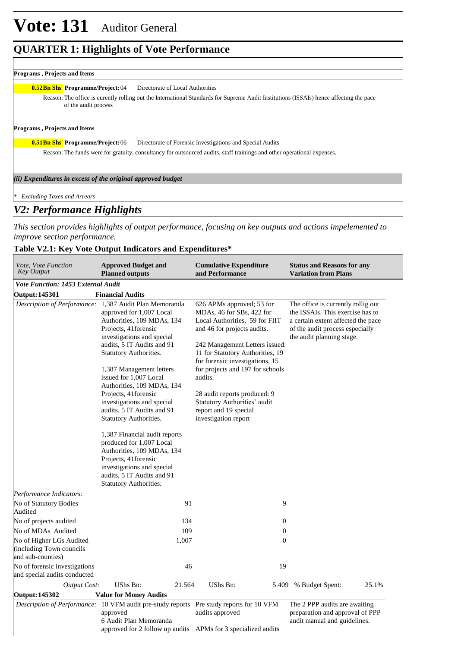### **Programs , Projects and Items**

#### **0.52Bn Shs Programme/Project:** 04 Directorate of Local Authorities

Reason: The office is curently rolling out the International Standards for Supreme Audit Institutions (ISSAIs) hence affecting the pace of the audit process

#### **Programs , Projects and Items**

**Birectorate of Forensic Investigations and Special Audits 0.51Bn Shs** Programme/Project: 06

Reason: The funds were for gratuity, consultancy for outsourced audits, staff trainings and other operational expenses.

### *(ii) Expenditures in excess of the original approved budget*

*\* Excluding Taxes and Arrears*

# *V2: Performance Highlights*

*This section provides highlights of output performance, focusing on key outputs and actions impelemented to improve section performance.*

# **Table V2.1: Key Vote Output Indicators and Expenditures\***

| Vote, Vote Function<br>Key Output                                         | <b>Approved Budget and</b><br><b>Planned outputs</b>                                                                                                                                                                                                                                                                       | <b>Cumulative Expenditure</b><br>and Performance                                                                                                                                                                                                                                | <b>Status and Reasons for any</b><br><b>Variation from Plans</b>                                                                                                             |
|---------------------------------------------------------------------------|----------------------------------------------------------------------------------------------------------------------------------------------------------------------------------------------------------------------------------------------------------------------------------------------------------------------------|---------------------------------------------------------------------------------------------------------------------------------------------------------------------------------------------------------------------------------------------------------------------------------|------------------------------------------------------------------------------------------------------------------------------------------------------------------------------|
| <b>Vote Function: 1453 External Audit</b>                                 |                                                                                                                                                                                                                                                                                                                            |                                                                                                                                                                                                                                                                                 |                                                                                                                                                                              |
| <b>Output: 145301</b>                                                     | <b>Financial Audits</b>                                                                                                                                                                                                                                                                                                    |                                                                                                                                                                                                                                                                                 |                                                                                                                                                                              |
|                                                                           | Description of Performance: 1,387 Audit Plan Memoranda<br>approved for 1,007 Local<br>Authorities, 109 MDAs, 134<br>Projects, 41 forensic<br>investigations and special<br>audits, 5 IT Audits and 91<br><b>Statutory Authorities.</b><br>1,387 Management letters<br>issued for 1,007 Local<br>Authorities, 109 MDAs, 134 | 626 APMs approved; 53 for<br>MDAs, 46 for SBs, 422 for<br>Local Authorities, 59 for FIIT<br>and 46 for projects audits.<br>242 Management Letters issued:<br>11 for Statutory Authorities, 19<br>for forensic investigations, 15<br>for projects and 197 for schools<br>audits. | The office is currently rollig out<br>the ISSAIs. This exercise has to<br>a certain extent affected the pace<br>of the audit process especially<br>the audit planning stage. |
|                                                                           | Projects, 41 forensic<br>investigations and special<br>audits, 5 IT Audits and 91<br>Statutory Authorities.                                                                                                                                                                                                                | 28 audit reports produced: 9<br>Statutory Authorities' audit<br>report and 19 special<br>investigation report                                                                                                                                                                   |                                                                                                                                                                              |
|                                                                           | 1,387 Financial audit reports<br>produced for 1,007 Local<br>Authorities, 109 MDAs, 134<br>Projects, 41 forensic<br>investigations and special<br>audits, 5 IT Audits and 91<br>Statutory Authorities.                                                                                                                     |                                                                                                                                                                                                                                                                                 |                                                                                                                                                                              |
| Performance Indicators:                                                   |                                                                                                                                                                                                                                                                                                                            |                                                                                                                                                                                                                                                                                 |                                                                                                                                                                              |
| No of Statutory Bodies<br>Audited                                         | 91                                                                                                                                                                                                                                                                                                                         | 9                                                                                                                                                                                                                                                                               |                                                                                                                                                                              |
| No of projects audited                                                    | 134                                                                                                                                                                                                                                                                                                                        | $\boldsymbol{0}$                                                                                                                                                                                                                                                                |                                                                                                                                                                              |
| No of MDAs Audited                                                        | 109                                                                                                                                                                                                                                                                                                                        | $\boldsymbol{0}$                                                                                                                                                                                                                                                                |                                                                                                                                                                              |
| No of Higher LGs Audited<br>(including Town councils<br>and sub-counties) | 1,007                                                                                                                                                                                                                                                                                                                      | $\mathbf{0}$                                                                                                                                                                                                                                                                    |                                                                                                                                                                              |
| No of forensic investigations<br>and special audits conducted             | 46                                                                                                                                                                                                                                                                                                                         | 19                                                                                                                                                                                                                                                                              |                                                                                                                                                                              |
| <b>Output Cost:</b>                                                       | UShs Bn:<br>21.564                                                                                                                                                                                                                                                                                                         | UShs Bn:<br>5.409                                                                                                                                                                                                                                                               | % Budget Spent:<br>25.1%                                                                                                                                                     |
| Output: 145302                                                            | <b>Value for Money Audits</b>                                                                                                                                                                                                                                                                                              |                                                                                                                                                                                                                                                                                 |                                                                                                                                                                              |
|                                                                           | Description of Performance: 10 VFM audit pre-study reports Pre study reports for 10 VFM<br>approved<br>6 Audit Plan Memoranda<br>approved for 2 follow up audits APMs for 3 specialized audits                                                                                                                             | audits approved                                                                                                                                                                                                                                                                 | The 2 PPP audits are awaiting<br>preparation and approval of PPP<br>audit manual and guidelines.                                                                             |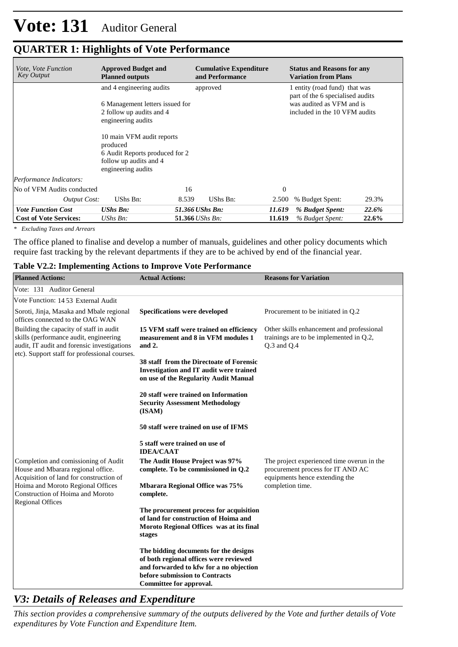| <i>Vote, Vote Function</i><br><b>Key Output</b> | <b>Approved Budget and</b><br><b>Planned outputs</b>                                                                                                                                                                                     |                         | <b>Cumulative Expenditure</b><br>and Performance |          | <b>Status and Reasons for any</b><br><b>Variation from Plans</b>                                                                |       |
|-------------------------------------------------|------------------------------------------------------------------------------------------------------------------------------------------------------------------------------------------------------------------------------------------|-------------------------|--------------------------------------------------|----------|---------------------------------------------------------------------------------------------------------------------------------|-------|
|                                                 | and 4 engineering audits<br>6 Management letters issued for<br>2 follow up audits and 4<br>engineering audits<br>10 main VFM audit reports<br>produced<br>6 Audit Reports produced for 2<br>follow up audits and 4<br>engineering audits |                         | approved                                         |          | 1 entity (road fund) that was<br>part of the 6 specialised audits<br>was audited as VFM and is<br>included in the 10 VFM audits |       |
| Performance Indicators:                         |                                                                                                                                                                                                                                          |                         |                                                  |          |                                                                                                                                 |       |
| No of VFM Audits conducted                      |                                                                                                                                                                                                                                          | 16                      |                                                  | $\theta$ |                                                                                                                                 |       |
| Output Cost:                                    | UShs Bn:                                                                                                                                                                                                                                 | 8.539                   | UShs Bn:                                         | 2.500    | % Budget Spent:                                                                                                                 | 29.3% |
| <b>Vote Function Cost</b>                       | <b>UShs Bn:</b>                                                                                                                                                                                                                          | 51.366 UShs Bn:         |                                                  | 11.619   | % Budget Spent:                                                                                                                 | 22.6% |
| <b>Cost of Vote Services:</b>                   | UShs Bn:                                                                                                                                                                                                                                 | 51.366 <i>UShs Bn</i> : |                                                  | 11.619   | % Budget Spent:                                                                                                                 | 22.6% |

*\* Excluding Taxes and Arrears*

The office planed to finalise and develop a number of manuals, guidelines and other policy documents which require fast tracking by the relevant departments if they are to be achived by end of the financial year.

### **Table V2.2: Implementing Actions to Improve Vote Performance**

| <b>Planned Actions:</b>                                                                                                                                                           | <b>Actual Actions:</b>                                                                                                                                                                  | <b>Reasons for Variation</b>                                                                                      |
|-----------------------------------------------------------------------------------------------------------------------------------------------------------------------------------|-----------------------------------------------------------------------------------------------------------------------------------------------------------------------------------------|-------------------------------------------------------------------------------------------------------------------|
| Vote: 131 Auditor General                                                                                                                                                         |                                                                                                                                                                                         |                                                                                                                   |
| Vote Function: 1453 External Audit                                                                                                                                                |                                                                                                                                                                                         |                                                                                                                   |
| Soroti, Jinja, Masaka and Mbale regional<br>offices connected to the OAG WAN                                                                                                      | <b>Specifications were developed</b>                                                                                                                                                    | Procurement to be initiated in Q.2                                                                                |
| Building the capacity of staff in audit<br>skills (performance audit, engineering<br>audit, IT audit and forensic investigations<br>etc). Support staff for professional courses. | 15 VFM staff were trained on efficiency<br>measurement and 8 in VFM modules 1<br>and 2.                                                                                                 | Other skills enhancement and professional<br>trainings are to be implemented in Q.2,<br>$Q.3$ and $Q.4$           |
|                                                                                                                                                                                   | 38 staff from the Directoate of Forensic<br>Investigation and IT audit were trained<br>on use of the Regularity Audit Manual                                                            |                                                                                                                   |
|                                                                                                                                                                                   | 20 staff were trained on Information<br><b>Security Assessment Methodology</b><br>(ISAM)                                                                                                |                                                                                                                   |
|                                                                                                                                                                                   | 50 staff were trained on use of IFMS                                                                                                                                                    |                                                                                                                   |
|                                                                                                                                                                                   | 5 staff were trained on use of<br><b>IDEA/CAAT</b>                                                                                                                                      |                                                                                                                   |
| Completion and comissioning of Audit<br>House and Mbarara regional office.<br>Acquisition of land for construction of                                                             | The Audit House Project was 97%<br>complete. To be commissioned in Q.2                                                                                                                  | The project experienced time overun in the<br>procurement process for IT AND AC<br>equipments hence extending the |
| Hoima and Moroto Regional Offices<br>Construction of Hoima and Moroto                                                                                                             | <b>Mbarara Regional Office was 75%</b><br>complete.                                                                                                                                     | completion time.                                                                                                  |
| <b>Regional Offices</b>                                                                                                                                                           | The procurement process for acquisition<br>of land for construction of Hoima and<br>Moroto Regional Offices was at its final<br>stages                                                  |                                                                                                                   |
|                                                                                                                                                                                   | The bidding documents for the designs<br>of both regional offices were reviewed<br>and forwarded to kfw for a no objection<br>before submission to Contracts<br>Committee for approval. |                                                                                                                   |

# *V3: Details of Releases and Expenditure*

*This section provides a comprehensive summary of the outputs delivered by the Vote and further details of Vote expenditures by Vote Function and Expenditure Item.*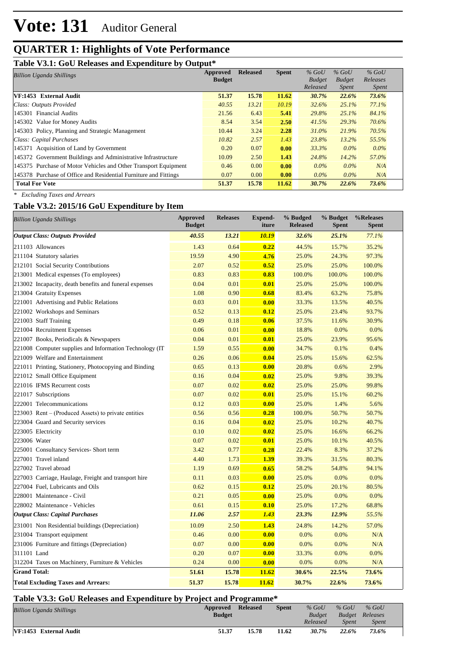# **Table V3.1: GoU Releases and Expenditure by Output\***

| <b>Billion Uganda Shillings</b>                                  | Approved      | <b>Released</b> | <b>Spent</b> | $%$ GoU       | $%$ GoU       | $%$ GoU      |
|------------------------------------------------------------------|---------------|-----------------|--------------|---------------|---------------|--------------|
|                                                                  | <b>Budget</b> |                 |              | <b>Budget</b> | <b>Budget</b> | Releases     |
|                                                                  |               |                 |              | Released      | <i>Spent</i>  | <i>Spent</i> |
| <b>VF:1453</b> External Audit                                    | 51.37         | 15.78           | 11.62        | 30.7%         | 22.6%         | 73.6%        |
| Class: Outputs Provided                                          | 40.55         | 13.21           | 10.19        | 32.6%         | 25.1%         | 77.1%        |
| 145301 Financial Audits                                          | 21.56         | 6.43            | 5.41         | 29.8%         | $25.1\%$      | 84.1%        |
| 145302 Value for Money Audits                                    | 8.54          | 3.54            | 2.50         | 41.5%         | 29.3%         | 70.6%        |
| 145303 Policy, Planning and Strategic Management                 | 10.44         | 3.24            | 2.28         | $31.0\%$      | 21.9%         | 70.5%        |
| Class: Capital Purchases                                         | 10.82         | 2.57            | 1.43         | 23.8%         | 13.2%         | 55.5%        |
| 145371 Acquisition of Land by Government                         | 0.20          | 0.07            | 0.00         | 33.3%         | $0.0\%$       | $0.0\%$      |
| 145372 Government Buildings and Administrative Infrastructure    | 10.09         | 2.50            | 1.43         | 24.8%         | 14.2%         | 57.0%        |
| 145375 Purchase of Motor Vehicles and Other Transport Equipment  | 0.46          | 0.00            | 0.00         | $0.0\%$       | $0.0\%$       | N/A          |
| 145378 Purchase of Office and Residential Furniture and Fittings | 0.07          | 0.00            | 0.00         | $0.0\%$       | $0.0\%$       | N/A          |
| <b>Total For Vote</b>                                            | 51.37         | 15.78           | 11.62        | 30.7%         | 22.6%         | 73.6%        |

*\* Excluding Taxes and Arrears*

# **Table V3.2: 2015/16 GoU Expenditure by Item**

| $\frac{1}{2}$<br><b>Billion Uganda Shillings</b>         | <b>Approved</b><br><b>Budget</b> | <b>Releases</b> | Expend-<br>iture | % Budged<br><b>Released</b> | % Budget<br><b>Spent</b> | %Releases<br><b>Spent</b> |
|----------------------------------------------------------|----------------------------------|-----------------|------------------|-----------------------------|--------------------------|---------------------------|
| <b>Output Class: Outputs Provided</b>                    | 40.55                            | 13.21           | 10.19            | 32.6%                       | 25.1%                    | 77.1%                     |
| 211103 Allowances                                        | 1.43                             | 0.64            | 0.22             | 44.5%                       | 15.7%                    | 35.2%                     |
| 211104 Statutory salaries                                | 19.59                            | 4.90            | 4.76             | 25.0%                       | 24.3%                    | 97.3%                     |
| 212101 Social Security Contributions                     | 2.07                             | 0.52            | 0.52             | 25.0%                       | 25.0%                    | 100.0%                    |
| 213001 Medical expenses (To employees)                   | 0.83                             | 0.83            | 0.83             | 100.0%                      | 100.0%                   | 100.0%                    |
| 213002 Incapacity, death benefits and funeral expenses   | 0.04                             | 0.01            | 0.01             | 25.0%                       | 25.0%                    | 100.0%                    |
| 213004 Gratuity Expenses                                 | 1.08                             | 0.90            | 0.68             | 83.4%                       | 63.2%                    | 75.8%                     |
| 221001 Advertising and Public Relations                  | 0.03                             | 0.01            | 0.00             | 33.3%                       | 13.5%                    | 40.5%                     |
| 221002 Workshops and Seminars                            | 0.52                             | 0.13            | 0.12             | 25.0%                       | 23.4%                    | 93.7%                     |
| 221003 Staff Training                                    | 0.49                             | 0.18            | 0.06             | 37.5%                       | 11.6%                    | 30.9%                     |
| 221004 Recruitment Expenses                              | 0.06                             | 0.01            | 0.00             | 18.8%                       | 0.0%                     | 0.0%                      |
| 221007 Books, Periodicals & Newspapers                   | 0.04                             | 0.01            | 0.01             | 25.0%                       | 23.9%                    | 95.6%                     |
| 221008 Computer supplies and Information Technology (IT) | 1.59                             | 0.55            | 0.00             | 34.7%                       | 0.1%                     | 0.4%                      |
| 221009 Welfare and Entertainment                         | 0.26                             | 0.06            | 0.04             | 25.0%                       | 15.6%                    | 62.5%                     |
| 221011 Printing, Stationery, Photocopying and Binding    | 0.65                             | 0.13            | 0.00             | 20.8%                       | 0.6%                     | 2.9%                      |
| 221012 Small Office Equipment                            | 0.16                             | 0.04            | 0.02             | 25.0%                       | 9.8%                     | 39.3%                     |
| 221016 IFMS Recurrent costs                              | 0.07                             | 0.02            | 0.02             | 25.0%                       | 25.0%                    | 99.8%                     |
| 221017 Subscriptions                                     | 0.07                             | 0.02            | 0.01             | 25.0%                       | 15.1%                    | 60.2%                     |
| 222001 Telecommunications                                | 0.12                             | 0.03            | 0.00             | 25.0%                       | 1.4%                     | 5.6%                      |
| $223003$ Rent – (Produced Assets) to private entities    | 0.56                             | 0.56            | 0.28             | 100.0%                      | 50.7%                    | 50.7%                     |
| 223004 Guard and Security services                       | 0.16                             | 0.04            | 0.02             | 25.0%                       | 10.2%                    | 40.7%                     |
| 223005 Electricity                                       | 0.10                             | 0.02            | 0.02             | 25.0%                       | 16.6%                    | 66.2%                     |
| 223006 Water                                             | 0.07                             | 0.02            | 0.01             | 25.0%                       | 10.1%                    | 40.5%                     |
| 225001 Consultancy Services- Short term                  | 3.42                             | 0.77            | 0.28             | 22.4%                       | 8.3%                     | 37.2%                     |
| 227001 Travel inland                                     | 4.40                             | 1.73            | 1.39             | 39.3%                       | 31.5%                    | 80.3%                     |
| 227002 Travel abroad                                     | 1.19                             | 0.69            | 0.65             | 58.2%                       | 54.8%                    | 94.1%                     |
| 227003 Carriage, Haulage, Freight and transport hire     | 0.11                             | 0.03            | 0.00             | 25.0%                       | 0.0%                     | 0.0%                      |
| 227004 Fuel, Lubricants and Oils                         | 0.62                             | 0.15            | 0.12             | 25.0%                       | 20.1%                    | 80.5%                     |
| 228001 Maintenance - Civil                               | 0.21                             | 0.05            | 0.00             | 25.0%                       | 0.0%                     | 0.0%                      |
| 228002 Maintenance - Vehicles                            | 0.61                             | 0.15            | 0.10             | 25.0%                       | 17.2%                    | 68.8%                     |
| <b>Output Class: Capital Purchases</b>                   | 11.06                            | 2.57            | 1.43             | 23.3%                       | 12.9%                    | 55.5%                     |
| 231001 Non Residential buildings (Depreciation)          | 10.09                            | 2.50            | 1.43             | 24.8%                       | 14.2%                    | 57.0%                     |
| 231004 Transport equipment                               | 0.46                             | 0.00            | 0.00             | 0.0%                        | 0.0%                     | N/A                       |
| 231006 Furniture and fittings (Depreciation)             | 0.07                             | 0.00            | 0.00             | 0.0%                        | 0.0%                     | N/A                       |
| 311101 Land                                              | 0.20                             | 0.07            | 0.00             | 33.3%                       | 0.0%                     | 0.0%                      |
| 312204 Taxes on Machinery, Furniture & Vehicles          | 0.24                             | 0.00            | 0.00             | 0.0%                        | 0.0%                     | N/A                       |
| <b>Grand Total:</b>                                      | 51.61                            | 15.78           | 11.62            | 30.6%                       | 22.5%                    | 73.6%                     |
| <b>Total Excluding Taxes and Arrears:</b>                | 51.37                            | 15.78           | 11.62            | 30.7%                       | 22.6%                    | 73.6%                     |

# **Table V3.3: GoU Releases and Expenditure by Project and Programme\***

| <b>Billion Uganda Shillings</b> | Approved<br><b>Budget</b> | <b>Released</b> | <b>Spent</b> | $%$ GoU<br><b>Budget</b> | $%$ GoU | $%$ GoU<br>Budget Releases |  |
|---------------------------------|---------------------------|-----------------|--------------|--------------------------|---------|----------------------------|--|
|                                 |                           |                 |              | Released                 | Spent   | <b>Spent</b>               |  |
| <b>NF:1453</b> External Audit   | 51.37                     | 15.78           | 11.62        | 30.7%                    | 22.6%   | 73.6%                      |  |